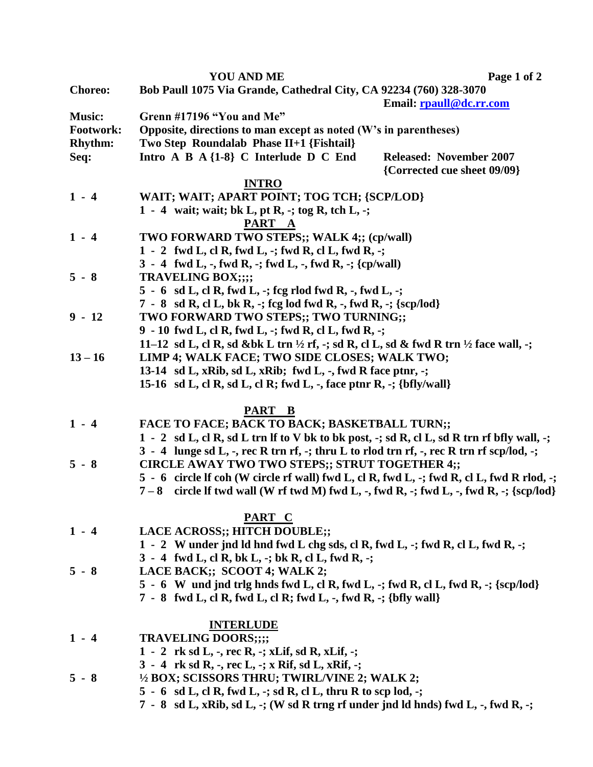|                | <b>YOU AND ME</b>                                                                                                                                      | Page 1 of 2                    |
|----------------|--------------------------------------------------------------------------------------------------------------------------------------------------------|--------------------------------|
| <b>Choreo:</b> | Bob Paull 1075 Via Grande, Cathedral City, CA 92234 (760) 328-3070                                                                                     |                                |
|                |                                                                                                                                                        | Email: rpaull@dc.rr.com        |
| <b>Music:</b>  | Grenn #17196 "You and Me"                                                                                                                              |                                |
| Footwork:      | Opposite, directions to man except as noted (W's in parentheses)                                                                                       |                                |
| Rhythm:        | Two Step Roundalab Phase II+1 {Fishtail}                                                                                                               |                                |
| Seq:           | Intro A B $A \{1-8\}$ C Interlude D C End                                                                                                              | <b>Released: November 2007</b> |
|                |                                                                                                                                                        | {Corrected cue sheet 09/09}    |
| <b>INTRO</b>   |                                                                                                                                                        |                                |
| $1 - 4$        | WAIT; WAIT; APART POINT; TOG TCH; {SCP/LOD}                                                                                                            |                                |
|                | 1 - 4 wait; wait; bk L, pt R, -; tog R, tch L, -;                                                                                                      |                                |
|                | PART A                                                                                                                                                 |                                |
| $1 - 4$        | TWO FORWARD TWO STEPS;; WALK 4;; (cp/wall)                                                                                                             |                                |
|                | 1 - 2 fwd L, cl R, fwd L, -; fwd R, cl L, fwd R, -;                                                                                                    |                                |
|                | $3 - 4$ fwd L, -, fwd R, -; fwd L, -, fwd R, -; {cp/wall)                                                                                              |                                |
| $5 - 8$        | <b>TRAVELING BOX;;;;</b>                                                                                                                               |                                |
|                | $5 - 6$ sd L, cl R, fwd L, -; fcg rlod fwd R, -, fwd L, -;<br>7 - 8 sd R, cl L, bk R, -; fcg lod fwd R, -, fwd R, -; {scp/lod}                         |                                |
| $9 - 12$       | TWO FORWARD TWO STEPS;; TWO TURNING;;                                                                                                                  |                                |
|                | 9 - 10 fwd L, cl R, fwd L, -; fwd R, cl L, fwd R, -;                                                                                                   |                                |
|                | 11–12 sd L, cl R, sd &bk L trn ½ rf, -; sd R, cl L, sd & fwd R trn ½ face wall, -;                                                                     |                                |
| $13 - 16$      | LIMP 4; WALK FACE; TWO SIDE CLOSES; WALK TWO;                                                                                                          |                                |
|                | 13-14 sd L, xRib, sd L, xRib; fwd L, -, fwd R face ptnr, -;                                                                                            |                                |
|                | 15-16 sd L, cl R, sd L, cl R; fwd L, -, face ptnr R, -; $\{bf\}$                                                                                       |                                |
|                |                                                                                                                                                        |                                |
| PART B         |                                                                                                                                                        |                                |
| $1 - 4$        | <b>FACE TO FACE; BACK TO BACK; BASKETBALL TURN;;</b>                                                                                                   |                                |
|                | 1 - 2 sd L, cl R, sd L trn If to V bk to bk post, -; sd R, cl L, sd R trn rf bfly wall, -;                                                             |                                |
|                | 3 - 4 lunge sd L, -, rec R trn rf, -; thru L to rlod trn rf, -, rec R trn rf scp/lod, -;                                                               |                                |
| $5 - 8$        | CIRCLE AWAY TWO TWO STEPS;; STRUT TOGETHER 4;;                                                                                                         |                                |
|                | 5 - 6 circle lf coh (W circle rf wall) fwd L, cl R, fwd L, -; fwd R, cl L, fwd R rlod, -;                                                              |                                |
|                | $7-8$ circle If twd wall (W rf twd M) fwd L, -, fwd R, -; fwd L, -, fwd R, -; {scp/lod}                                                                |                                |
|                |                                                                                                                                                        |                                |
|                | PART C                                                                                                                                                 |                                |
| $1 - 4$        | LACE ACROSS;; HITCH DOUBLE;;                                                                                                                           |                                |
|                | 1 - 2 W under jnd ld hnd fwd L chg sds, cl R, fwd L, -; fwd R, cl L, fwd R, -;                                                                         |                                |
| $5 - 8$        | 3 - 4 fwd L, cl R, bk L, -; bk R, cl L, fwd R, -;                                                                                                      |                                |
|                | LACE BACK;; SCOOT 4; WALK 2;                                                                                                                           |                                |
|                | $5 - 6$ W und jnd trig hnds fwd L, cl R, fwd L, -; fwd R, cl L, fwd R, -; {scp/lod}<br>7 - 8 fwd L, cl R, fwd L, cl R; fwd L, -, fwd R, -; {bfly wall} |                                |
|                |                                                                                                                                                        |                                |
|                | <b>INTERLUDE</b>                                                                                                                                       |                                |
| $1 - 4$        | <b>TRAVELING DOORS;;;;</b>                                                                                                                             |                                |
|                | 1 - 2 rk sd L, -, rec R, -; xLif, sd R, xLif, -;                                                                                                       |                                |
|                | 3 - 4 rk sd R, -, rec L, -; x Rif, sd L, xRif, -;                                                                                                      |                                |
| $5 - 8$        | 1/2 BOX; SCISSORS THRU; TWIRL/VINE 2; WALK 2;                                                                                                          |                                |
|                | 5 - 6 sd L, cl R, fwd L, -; sd R, cl L, thru R to scp lod, -;                                                                                          |                                |
|                | 7 - 8 sd L, xRib, sd L, -; (W sd R trng rf under jnd ld hnds) fwd L, -, fwd R, -;                                                                      |                                |
|                |                                                                                                                                                        |                                |